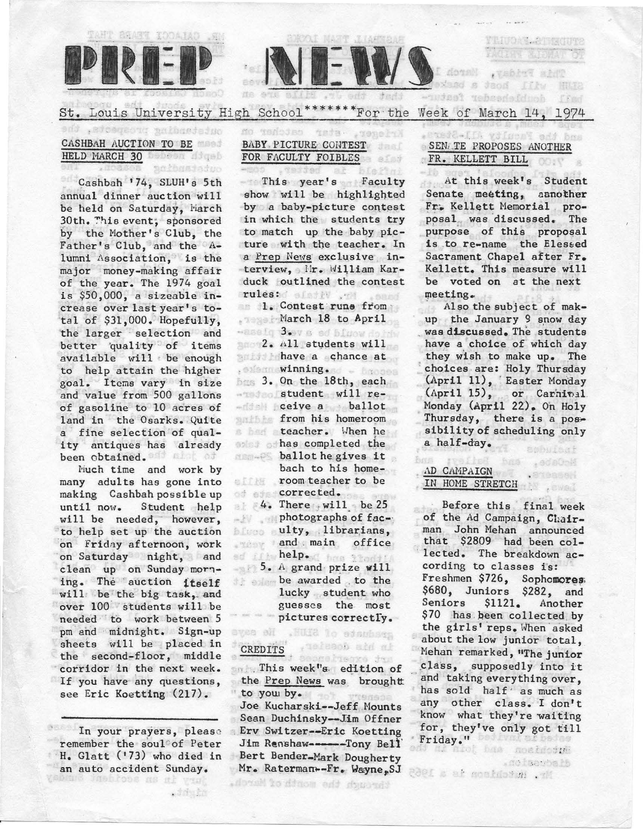



St. Louis University High School<sup>\*\*\*\*\*\*\*</sup> For the Week of March 14, 1974

性血性血

# ontetating prospects, the CASHBAH AUCTION TO BE HELD MARCH 30 DESCRIPTION

.noasoa goibasjaduo

Cashbah '74, SLUH's 5th annual dinner auction will be held on Saturday, March 30th. ~his event; sponsored by the Mother's Club, the Father's Club, and the Alumni Association, is the major money-making affair of the year. The 1974 goal is \$50,000, a sizeable increase over last year's total of \$31,000. Hopefully, the larger selection and better 'quality of items available will be enough to help attain the higher goal. Items vary in size and value from 500 gallons of gasoline to 10 acres of land in the Osarks. Quite a fine selection of quality antiques has already been obtained.

Nuch time and work by many adults has gone into making Cashbah possible up until now. Student help will be needed, however, to help set up the auction on Friday afternoon, work on Saturday night, and clean up on Sunday morning. The auction itself will be the big task, and over 100 students will be needed to work between 5 pm and midnight. Sign-up sheets will be placed in the second-floor, middle corridor in the next week. If you have any questions, see Eric Koetting (217).

In your prayers, please remember the soul' of Peter H. Glatt ('73) who died in an auto accident Sunday.

est dos fin

#### **Yeze (1)** BABY. PICTURE CONTEST FOR FACULTY FOIBLES

作商作为发言力

This year's Faculty show will be highlighted by a baby-picture contest in which the students try to match up the baby picture with the teacher. In a Prep News exclusive interview, lir. William Karduck outlined the contest rules: sistiv . 1

rules:<br>1. Contest runs from March 18 to April .salq 3xev s od binow do hiv  $2.$  All students will **have a chance at** , siem winning. . . hmoss 3. On the 18th, each student will receive a ballot from his homeroom s her teacher. When he and the completed the ballot he gives it. bach to his home-

room. teacher to be of of corrected.  $4.$  There will be 25 photographs of facblues ulty, librarians, and main office ed fith help. I has that!  $5. A grand prize will.$ 

be awarded . to the lucky student who guesses the most pictures correctly.

rusissob aid al

#### .HUIS to education Be says 'CREDITS

. . . . This week ''a. edition of the Prep News was brought to you by. Joe Kucharski--Jeff Mounts Sean Duchinsky--Jim Offner Erv Switzer--Eric Koetting Jim Renshaw-----Tony Bell Bert Bender-Mark Dougherty Mr. Raterman--Fr. Wayne, SJ

#### **Barket** SENATE PROPOSES ANOTHER . FR • . KELLETT BILL

STUDEL & BACUITS **BEEN ARRIVED** 

TEBIST BINT JEON LIEW

an of the

用我

At this week's Student Senate meeting, aanother Fr. Kellett Memorial proposal was discussed. The purpose of this proposal is to re-name the Blessed Sacrament Chapel after Fr. Kellett. This measure will be voted on at the next ~eeting. . · Also the subject of mak-

up the January 9 snow day was discussed. The students have a choice of which day they wish to make up. The choices are: Holy Thuraday (April 11), Easter Monday  $(\text{April } 15)$ , or Carnitel Monday (April 22). On Holy Thursday, there is a possibility of scheduling only a half-day.

> , sda0oM . Anienas i . swall

# ,\D CAHPAIGN IN HOME StRETCH

**FLORIDE** 

Before this final week of the Ad Campaign, Chairman John Mehan announced that \$2809 had been col lected. The breakdown according to classes is: Freshmen \$726, Sophomores. \$680, Juniors \$282, and Seniors \$1121. Another \$70 has been collected by the girls' reps. When asked about the low junior total, Mehan remarked, "The junior .class, supposedly into it and taking everything over, has sold half as much as any other class. I don't know what they're waiting for, they've only got till Friday." <sup>Dositval</sup> af beleg

.notescoals

ir. w tchion is a l965

through the month of March.